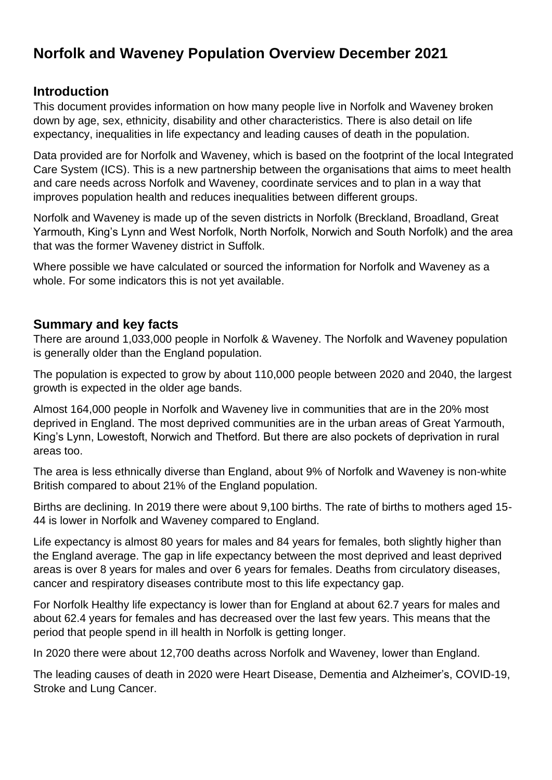# **Norfolk and Waveney Population Overview December 2021**

### **Introduction**

This document provides information on how many people live in Norfolk and Waveney broken down by age, sex, ethnicity, disability and other characteristics. There is also detail on life expectancy, inequalities in life expectancy and leading causes of death in the population.

Data provided are for Norfolk and Waveney, which is based on the footprint of the local Integrated Care System (ICS). This is a new partnership between the organisations that aims to meet health and care needs across Norfolk and Waveney, coordinate services and to plan in a way that improves population health and reduces inequalities between different groups.

Norfolk and Waveney is made up of the seven districts in Norfolk (Breckland, Broadland, Great Yarmouth, King's Lynn and West Norfolk, North Norfolk, Norwich and South Norfolk) and the area that was the former Waveney district in Suffolk.

Where possible we have calculated or sourced the information for Norfolk and Waveney as a whole. For some indicators this is not yet available.

### **Summary and key facts**

There are around 1,033,000 people in Norfolk & Waveney. The Norfolk and Waveney population is generally older than the England population.

The population is expected to grow by about 110,000 people between 2020 and 2040, the largest growth is expected in the older age bands.

Almost 164,000 people in Norfolk and Waveney live in communities that are in the 20% most deprived in England. The most deprived communities are in the urban areas of Great Yarmouth, King's Lynn, Lowestoft, Norwich and Thetford. But there are also pockets of deprivation in rural areas too.

The area is less ethnically diverse than England, about 9% of Norfolk and Waveney is non-white British compared to about 21% of the England population.

Births are declining. In 2019 there were about 9,100 births. The rate of births to mothers aged 15- 44 is lower in Norfolk and Waveney compared to England.

Life expectancy is almost 80 years for males and 84 years for females, both slightly higher than the England average. The gap in life expectancy between the most deprived and least deprived areas is over 8 years for males and over 6 years for females. Deaths from circulatory diseases, cancer and respiratory diseases contribute most to this life expectancy gap.

For Norfolk Healthy life expectancy is lower than for England at about 62.7 years for males and about 62.4 years for females and has decreased over the last few years. This means that the period that people spend in ill health in Norfolk is getting longer.

In 2020 there were about 12,700 deaths across Norfolk and Waveney, lower than England.

The leading causes of death in 2020 were Heart Disease, Dementia and Alzheimer's, COVID-19, Stroke and Lung Cancer.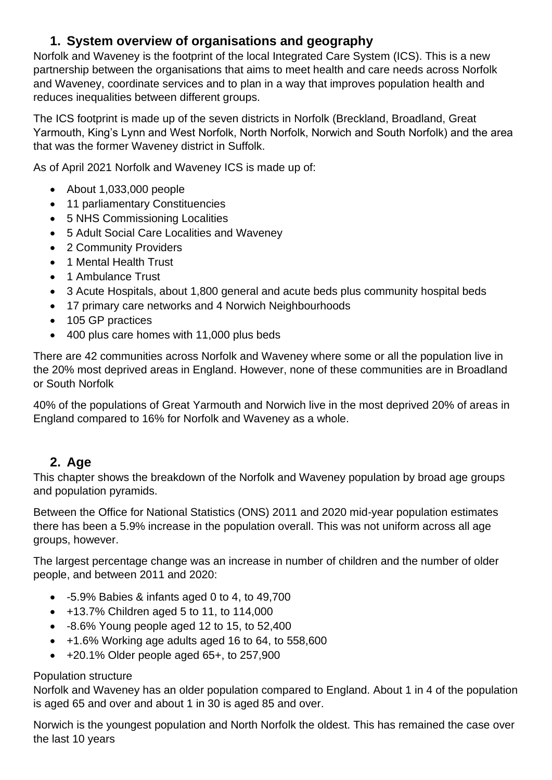# **1. System overview of organisations and geography**

Norfolk and Waveney is the footprint of the local Integrated Care System (ICS). This is a new partnership between the organisations that aims to meet health and care needs across Norfolk and Waveney, coordinate services and to plan in a way that improves population health and reduces inequalities between different groups.

The ICS footprint is made up of the seven districts in Norfolk (Breckland, Broadland, Great Yarmouth, King's Lynn and West Norfolk, North Norfolk, Norwich and South Norfolk) and the area that was the former Waveney district in Suffolk.

As of April 2021 Norfolk and Waveney ICS is made up of:

- About 1,033,000 people
- 11 parliamentary Constituencies
- 5 NHS Commissioning Localities
- 5 Adult Social Care Localities and Waveney
- 2 Community Providers
- 1 Mental Health Trust
- 1 Ambulance Trust
- 3 Acute Hospitals, about 1,800 general and acute beds plus community hospital beds
- 17 primary care networks and 4 Norwich Neighbourhoods
- 105 GP practices
- 400 plus care homes with 11,000 plus beds

There are 42 communities across Norfolk and Waveney where some or all the population live in the 20% most deprived areas in England. However, none of these communities are in Broadland or South Norfolk

40% of the populations of Great Yarmouth and Norwich live in the most deprived 20% of areas in England compared to 16% for Norfolk and Waveney as a whole.

## **2. Age**

This chapter shows the breakdown of the Norfolk and Waveney population by broad age groups and population pyramids.

Between the Office for National Statistics (ONS) 2011 and 2020 mid-year population estimates there has been a 5.9% increase in the population overall. This was not uniform across all age groups, however.

The largest percentage change was an increase in number of children and the number of older people, and between 2011 and 2020:

- -5.9% Babies & infants aged 0 to 4, to 49,700
- +13.7% Children aged 5 to 11, to 114,000
- -8.6% Young people aged 12 to 15, to 52,400
- +1.6% Working age adults aged 16 to 64, to 558,600
- $\bullet$  +20.1% Older people aged 65+, to 257,900

### Population structure

Norfolk and Waveney has an older population compared to England. About 1 in 4 of the population is aged 65 and over and about 1 in 30 is aged 85 and over.

Norwich is the youngest population and North Norfolk the oldest. This has remained the case over the last 10 years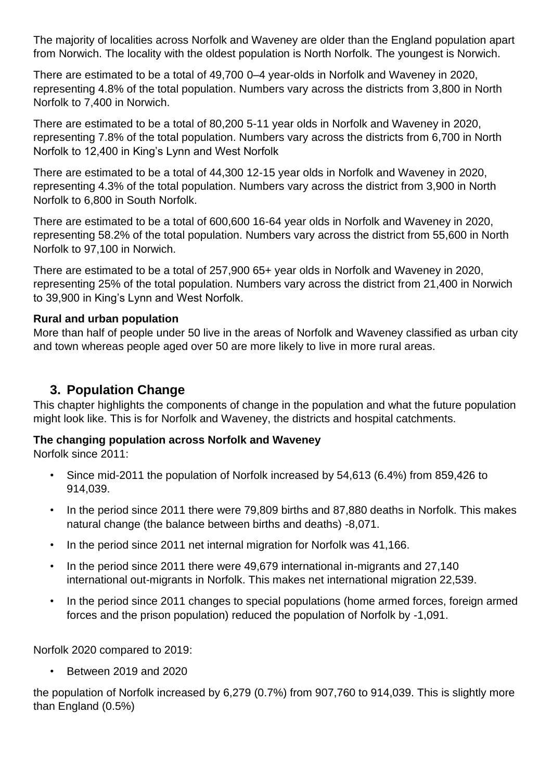The majority of localities across Norfolk and Waveney are older than the England population apart from Norwich. The locality with the oldest population is North Norfolk. The youngest is Norwich.

There are estimated to be a total of 49,700 0–4 year-olds in Norfolk and Waveney in 2020, representing 4.8% of the total population. Numbers vary across the districts from 3,800 in North Norfolk to 7,400 in Norwich.

There are estimated to be a total of 80,200 5-11 year olds in Norfolk and Waveney in 2020, representing 7.8% of the total population. Numbers vary across the districts from 6,700 in North Norfolk to 12,400 in King's Lynn and West Norfolk

There are estimated to be a total of 44,300 12-15 year olds in Norfolk and Waveney in 2020, representing 4.3% of the total population. Numbers vary across the district from 3,900 in North Norfolk to 6,800 in South Norfolk.

There are estimated to be a total of 600,600 16-64 year olds in Norfolk and Waveney in 2020, representing 58.2% of the total population. Numbers vary across the district from 55,600 in North Norfolk to 97,100 in Norwich.

There are estimated to be a total of 257,900 65+ year olds in Norfolk and Waveney in 2020, representing 25% of the total population. Numbers vary across the district from 21,400 in Norwich to 39,900 in King's Lynn and West Norfolk.

### **Rural and urban population**

More than half of people under 50 live in the areas of Norfolk and Waveney classified as urban city and town whereas people aged over 50 are more likely to live in more rural areas.

### **3. Population Change**

This chapter highlights the components of change in the population and what the future population might look like. This is for Norfolk and Waveney, the districts and hospital catchments.

### **The changing population across Norfolk and Waveney**

Norfolk since 2011:

- Since mid-2011 the population of Norfolk increased by 54,613 (6.4%) from 859,426 to 914,039.
- In the period since 2011 there were 79,809 births and 87,880 deaths in Norfolk. This makes natural change (the balance between births and deaths) -8,071.
- In the period since 2011 net internal migration for Norfolk was 41,166.
- In the period since 2011 there were 49,679 international in-migrants and 27,140 international out-migrants in Norfolk. This makes net international migration 22,539.
- In the period since 2011 changes to special populations (home armed forces, foreign armed forces and the prison population) reduced the population of Norfolk by -1,091.

Norfolk 2020 compared to 2019:

• Between 2019 and 2020

the population of Norfolk increased by 6,279 (0.7%) from 907,760 to 914,039. This is slightly more than England (0.5%)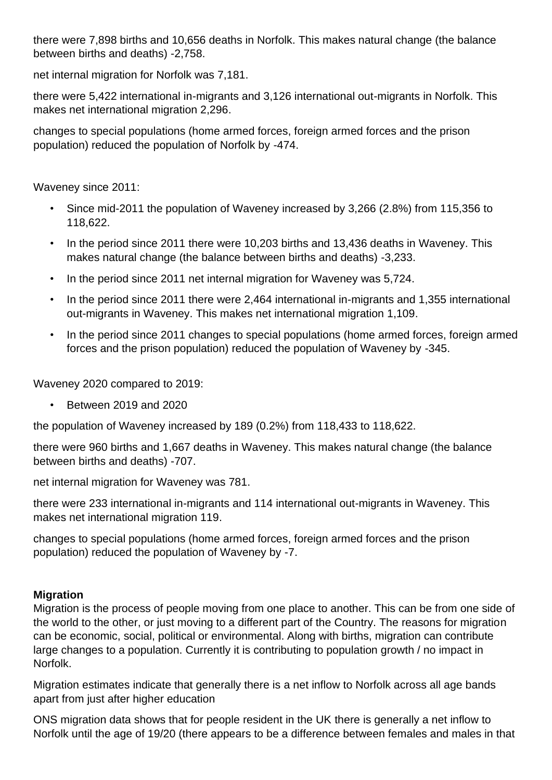there were 7,898 births and 10,656 deaths in Norfolk. This makes natural change (the balance between births and deaths) -2,758.

net internal migration for Norfolk was 7,181.

there were 5,422 international in-migrants and 3,126 international out-migrants in Norfolk. This makes net international migration 2,296.

changes to special populations (home armed forces, foreign armed forces and the prison population) reduced the population of Norfolk by -474.

Waveney since 2011:

- Since mid-2011 the population of Waveney increased by 3,266 (2.8%) from 115,356 to 118,622.
- In the period since 2011 there were 10,203 births and 13,436 deaths in Waveney. This makes natural change (the balance between births and deaths) -3,233.
- In the period since 2011 net internal migration for Waveney was 5,724.
- In the period since 2011 there were 2,464 international in-migrants and 1,355 international out-migrants in Waveney. This makes net international migration 1,109.
- In the period since 2011 changes to special populations (home armed forces, foreign armed forces and the prison population) reduced the population of Waveney by -345.

Waveney 2020 compared to 2019:

• Between 2019 and 2020

the population of Waveney increased by 189 (0.2%) from 118,433 to 118,622.

there were 960 births and 1,667 deaths in Waveney. This makes natural change (the balance between births and deaths) -707.

net internal migration for Waveney was 781.

there were 233 international in-migrants and 114 international out-migrants in Waveney. This makes net international migration 119.

changes to special populations (home armed forces, foreign armed forces and the prison population) reduced the population of Waveney by -7.

### **Migration**

Migration is the process of people moving from one place to another. This can be from one side of the world to the other, or just moving to a different part of the Country. The reasons for migration can be economic, social, political or environmental. Along with births, migration can contribute large changes to a population. Currently it is contributing to population growth / no impact in Norfolk.

Migration estimates indicate that generally there is a net inflow to Norfolk across all age bands apart from just after higher education

ONS migration data shows that for people resident in the UK there is generally a net inflow to Norfolk until the age of 19/20 (there appears to be a difference between females and males in that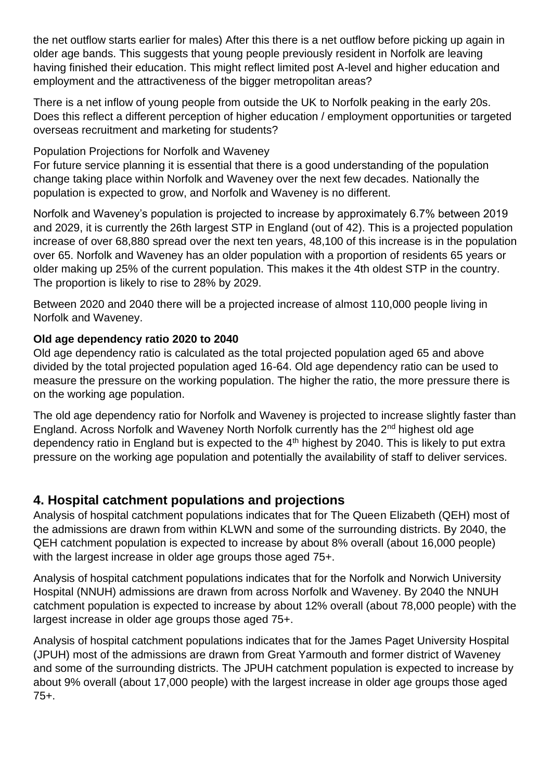the net outflow starts earlier for males) After this there is a net outflow before picking up again in older age bands. This suggests that young people previously resident in Norfolk are leaving having finished their education. This might reflect limited post A-level and higher education and employment and the attractiveness of the bigger metropolitan areas?

There is a net inflow of young people from outside the UK to Norfolk peaking in the early 20s. Does this reflect a different perception of higher education / employment opportunities or targeted overseas recruitment and marketing for students?

Population Projections for Norfolk and Waveney

For future service planning it is essential that there is a good understanding of the population change taking place within Norfolk and Waveney over the next few decades. Nationally the population is expected to grow, and Norfolk and Waveney is no different.

Norfolk and Waveney's population is projected to increase by approximately 6.7% between 2019 and 2029, it is currently the 26th largest STP in England (out of 42). This is a projected population increase of over 68,880 spread over the next ten years, 48,100 of this increase is in the population over 65. Norfolk and Waveney has an older population with a proportion of residents 65 years or older making up 25% of the current population. This makes it the 4th oldest STP in the country. The proportion is likely to rise to 28% by 2029.

Between 2020 and 2040 there will be a projected increase of almost 110,000 people living in Norfolk and Waveney.

### **Old age dependency ratio 2020 to 2040**

Old age dependency ratio is calculated as the total projected population aged 65 and above divided by the total projected population aged 16-64. Old age dependency ratio can be used to measure the pressure on the working population. The higher the ratio, the more pressure there is on the working age population.

The old age dependency ratio for Norfolk and Waveney is projected to increase slightly faster than England. Across Norfolk and Waveney North Norfolk currently has the 2nd highest old age dependency ratio in England but is expected to the 4<sup>th</sup> highest by 2040. This is likely to put extra pressure on the working age population and potentially the availability of staff to deliver services.

## **4. Hospital catchment populations and projections**

Analysis of hospital catchment populations indicates that for The Queen Elizabeth (QEH) most of the admissions are drawn from within KLWN and some of the surrounding districts. By 2040, the QEH catchment population is expected to increase by about 8% overall (about 16,000 people) with the largest increase in older age groups those aged 75+.

Analysis of hospital catchment populations indicates that for the Norfolk and Norwich University Hospital (NNUH) admissions are drawn from across Norfolk and Waveney. By 2040 the NNUH catchment population is expected to increase by about 12% overall (about 78,000 people) with the largest increase in older age groups those aged 75+.

Analysis of hospital catchment populations indicates that for the James Paget University Hospital (JPUH) most of the admissions are drawn from Great Yarmouth and former district of Waveney and some of the surrounding districts. The JPUH catchment population is expected to increase by about 9% overall (about 17,000 people) with the largest increase in older age groups those aged 75+.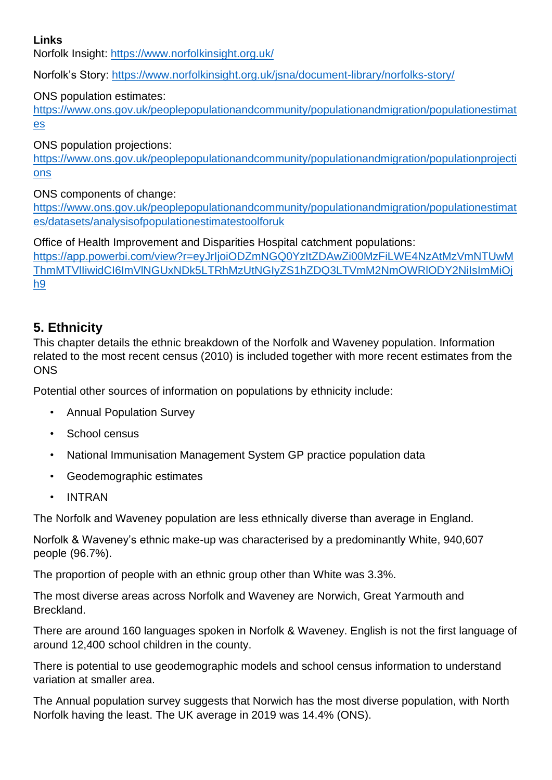### **Links**

Norfolk Insight:<https://www.norfolkinsight.org.uk/>

Norfolk's Story:<https://www.norfolkinsight.org.uk/jsna/document-library/norfolks-story/>

### ONS population estimates:

[https://www.ons.gov.uk/peoplepopulationandcommunity/populationandmigration/populationestimat](https://www.ons.gov.uk/peoplepopulationandcommunity/populationandmigration/populationestimates) [es](https://www.ons.gov.uk/peoplepopulationandcommunity/populationandmigration/populationestimates)

ONS population projections:

[https://www.ons.gov.uk/peoplepopulationandcommunity/populationandmigration/populationprojecti](https://www.ons.gov.uk/peoplepopulationandcommunity/populationandmigration/populationprojections) [ons](https://www.ons.gov.uk/peoplepopulationandcommunity/populationandmigration/populationprojections)

ONS components of change:

[https://www.ons.gov.uk/peoplepopulationandcommunity/populationandmigration/populationestimat](https://www.ons.gov.uk/peoplepopulationandcommunity/populationandmigration/populationestimates/datasets/analysisofpopulationestimatestoolforuk) [es/datasets/analysisofpopulationestimatestoolforuk](https://www.ons.gov.uk/peoplepopulationandcommunity/populationandmigration/populationestimates/datasets/analysisofpopulationestimatestoolforuk)

Office of Health Improvement and Disparities Hospital catchment populations:

[https://app.powerbi.com/view?r=eyJrIjoiODZmNGQ0YzItZDAwZi00MzFiLWE4NzAtMzVmNTUwM](https://app.powerbi.com/view?r=eyJrIjoiODZmNGQ0YzItZDAwZi00MzFiLWE4NzAtMzVmNTUwMThmMTVlIiwidCI6ImVlNGUxNDk5LTRhMzUtNGIyZS1hZDQ3LTVmM2NmOWRlODY2NiIsImMiOjh9) [ThmMTVlIiwidCI6ImVlNGUxNDk5LTRhMzUtNGIyZS1hZDQ3LTVmM2NmOWRlODY2NiIsImMiOj](https://app.powerbi.com/view?r=eyJrIjoiODZmNGQ0YzItZDAwZi00MzFiLWE4NzAtMzVmNTUwMThmMTVlIiwidCI6ImVlNGUxNDk5LTRhMzUtNGIyZS1hZDQ3LTVmM2NmOWRlODY2NiIsImMiOjh9) [h9](https://app.powerbi.com/view?r=eyJrIjoiODZmNGQ0YzItZDAwZi00MzFiLWE4NzAtMzVmNTUwMThmMTVlIiwidCI6ImVlNGUxNDk5LTRhMzUtNGIyZS1hZDQ3LTVmM2NmOWRlODY2NiIsImMiOjh9)

### **5. Ethnicity**

This chapter details the ethnic breakdown of the Norfolk and Waveney population. Information related to the most recent census (2010) is included together with more recent estimates from the **ONS** 

Potential other sources of information on populations by ethnicity include:

- Annual Population Survey
- School census
- National Immunisation Management System GP practice population data
- Geodemographic estimates
- INTRAN

The Norfolk and Waveney population are less ethnically diverse than average in England.

Norfolk & Waveney's ethnic make-up was characterised by a predominantly White, 940,607 people (96.7%).

The proportion of people with an ethnic group other than White was 3.3%.

The most diverse areas across Norfolk and Waveney are Norwich, Great Yarmouth and Breckland.

There are around 160 languages spoken in Norfolk & Waveney. English is not the first language of around 12,400 school children in the county.

There is potential to use geodemographic models and school census information to understand variation at smaller area.

The Annual population survey suggests that Norwich has the most diverse population, with North Norfolk having the least. The UK average in 2019 was 14.4% (ONS).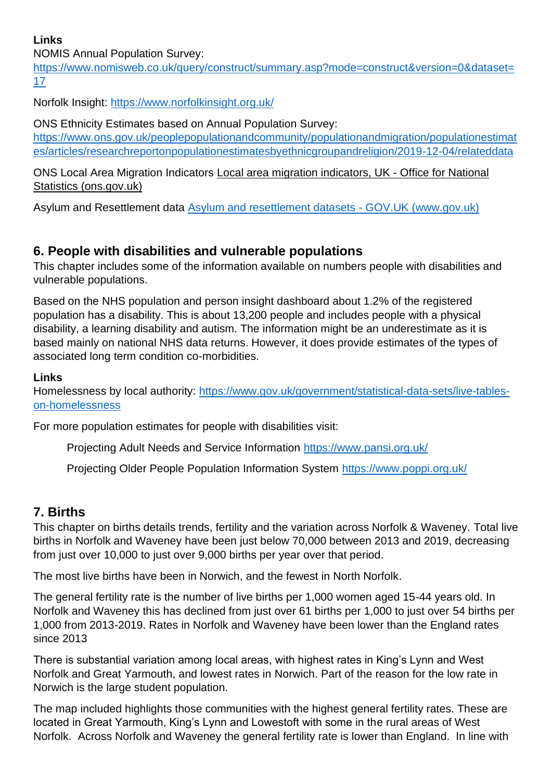### **Links**

NOMIS Annual Population Survey:

[https://www.nomisweb.co.uk/query/construct/summary.asp?mode=construct&version=0&dataset=](https://www.nomisweb.co.uk/query/construct/summary.asp?mode=construct&version=0&dataset=17) [17](https://www.nomisweb.co.uk/query/construct/summary.asp?mode=construct&version=0&dataset=17)

Norfolk Insight:<https://www.norfolkinsight.org.uk/>

ONS Ethnicity Estimates based on Annual Population Survey:

[https://www.ons.gov.uk/peoplepopulationandcommunity/populationandmigration/populationestimat](https://www.ons.gov.uk/peoplepopulationandcommunity/populationandmigration/populationestimates/articles/researchreportonpopulationestimatesbyethnicgroupandreligion/2019-12-04/relateddata) [es/articles/researchreportonpopulationestimatesbyethnicgroupandreligion/2019-12-04/relateddata](https://www.ons.gov.uk/peoplepopulationandcommunity/populationandmigration/populationestimates/articles/researchreportonpopulationestimatesbyethnicgroupandreligion/2019-12-04/relateddata)

ONS Local Area Migration Indicators [Local area migration indicators, UK -](https://www.ons.gov.uk/peoplepopulationandcommunity/populationandmigration/migrationwithintheuk/datasets/localareamigrationindicatorsunitedkingdom) Office for National [Statistics \(ons.gov.uk\)](https://www.ons.gov.uk/peoplepopulationandcommunity/populationandmigration/migrationwithintheuk/datasets/localareamigrationindicatorsunitedkingdom)

Asylum and Resettlement data Asylum and resettlement datasets - GOV.UK (www.gov.uk)

### **6. People with disabilities and vulnerable populations**

This chapter includes some of the information available on numbers people with disabilities and vulnerable populations.

Based on the NHS population and person insight dashboard about 1.2% of the registered population has a disability. This is about 13,200 people and includes people with a physical disability, a learning disability and autism. The information might be an underestimate as it is based mainly on national NHS data returns. However, it does provide estimates of the types of associated long term condition co-morbidities.

### **Links**

Homelessness by local authority: [https://www.gov.uk/government/statistical-data-sets/live-tables](https://www.gov.uk/government/statistical-data-sets/live-tables-on-homelessness)[on-homelessness](https://www.gov.uk/government/statistical-data-sets/live-tables-on-homelessness)

For more population estimates for people with disabilities visit:

Projecting Adult Needs and Service Information <https://www.pansi.org.uk/>

Projecting Older People Population Information System <https://www.poppi.org.uk/>

### **7. Births**

This chapter on births details trends, fertility and the variation across Norfolk & Waveney. Total live births in Norfolk and Waveney have been just below 70,000 between 2013 and 2019, decreasing from just over 10,000 to just over 9,000 births per year over that period.

The most live births have been in Norwich, and the fewest in North Norfolk.

The general fertility rate is the number of live births per 1,000 women aged 15-44 years old. In Norfolk and Waveney this has declined from just over 61 births per 1,000 to just over 54 births per 1,000 from 2013-2019. Rates in Norfolk and Waveney have been lower than the England rates since 2013

There is substantial variation among local areas, with highest rates in King's Lynn and West Norfolk and Great Yarmouth, and lowest rates in Norwich. Part of the reason for the low rate in Norwich is the large student population.

The map included highlights those communities with the highest general fertility rates. These are located in Great Yarmouth, King's Lynn and Lowestoft with some in the rural areas of West Norfolk. Across Norfolk and Waveney the general fertility rate is lower than England. In line with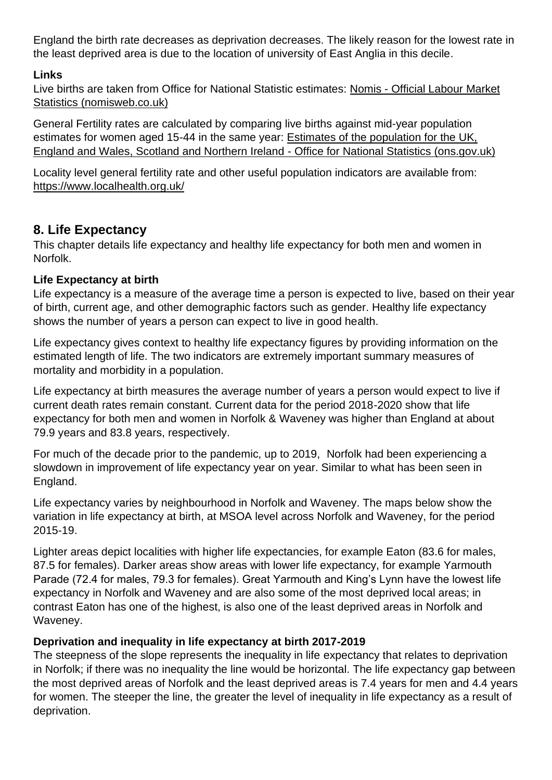England the birth rate decreases as deprivation decreases. The likely reason for the lowest rate in the least deprived area is due to the location of university of East Anglia in this decile.

### **Links**

Live births are taken from Office for National Statistic estimates: [Nomis](https://www.nomisweb.co.uk/) - [Official Labour Market](https://www.nomisweb.co.uk/)  [Statistics \(nomisweb.co.uk\)](https://www.nomisweb.co.uk/) 

General Fertility rates are calculated by comparing live births against mid-year population estimates for women aged 15-44 in the same year: [Estimates of the population for the UK,](https://www.ons.gov.uk/peoplepopulationandcommunity/populationandmigration/populationestimates/datasets/populationestimatesforukenglandandwalesscotlandandnorthernireland)  [England and Wales, Scotland and Northern Ireland](https://www.ons.gov.uk/peoplepopulationandcommunity/populationandmigration/populationestimates/datasets/populationestimatesforukenglandandwalesscotlandandnorthernireland) - Office for National Statistics (ons.gov.uk)

Locality level general fertility rate and other useful population indicators are available from: <https://www.localhealth.org.uk/>

### **8. Life Expectancy**

This chapter details life expectancy and healthy life expectancy for both men and women in Norfolk.

### **Life Expectancy at birth**

Life expectancy is a measure of the average time a person is expected to live, based on their year of birth, current age, and other demographic factors such as gender. Healthy life expectancy shows the number of years a person can expect to live in good health.

Life expectancy gives context to healthy life expectancy figures by providing information on the estimated length of life. The two indicators are extremely important summary measures of mortality and morbidity in a population.

Life expectancy at birth measures the average number of years a person would expect to live if current death rates remain constant. Current data for the period 2018-2020 show that life expectancy for both men and women in Norfolk & Waveney was higher than England at about 79.9 years and 83.8 years, respectively.

For much of the decade prior to the pandemic, up to 2019, Norfolk had been experiencing a slowdown in improvement of life expectancy year on year. Similar to what has been seen in England.

Life expectancy varies by neighbourhood in Norfolk and Waveney. The maps below show the variation in life expectancy at birth, at MSOA level across Norfolk and Waveney, for the period 2015-19.

Lighter areas depict localities with higher life expectancies, for example Eaton (83.6 for males, 87.5 for females). Darker areas show areas with lower life expectancy, for example Yarmouth Parade (72.4 for males, 79.3 for females). Great Yarmouth and King's Lynn have the lowest life expectancy in Norfolk and Waveney and are also some of the most deprived local areas; in contrast Eaton has one of the highest, is also one of the least deprived areas in Norfolk and Waveney.

### **Deprivation and inequality in life expectancy at birth 2017-2019**

The steepness of the slope represents the inequality in life expectancy that relates to deprivation in Norfolk; if there was no inequality the line would be horizontal. The life expectancy gap between the most deprived areas of Norfolk and the least deprived areas is 7.4 years for men and 4.4 years for women. The steeper the line, the greater the level of inequality in life expectancy as a result of deprivation.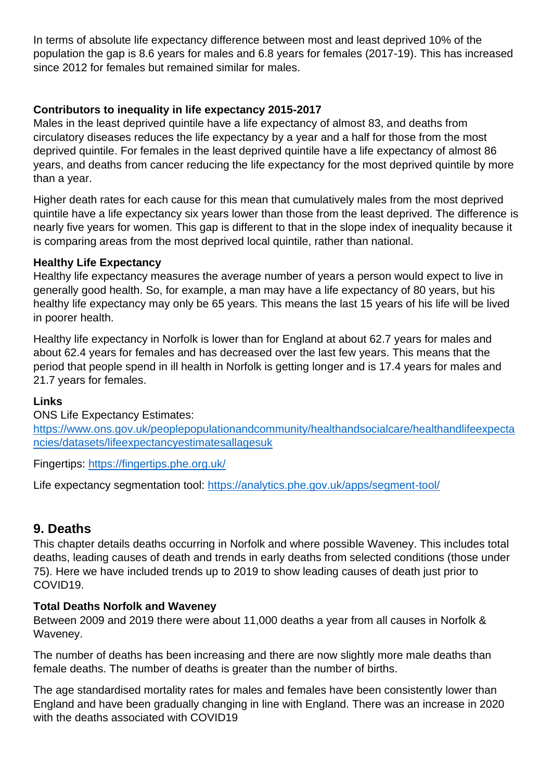In terms of absolute life expectancy difference between most and least deprived 10% of the population the gap is 8.6 years for males and 6.8 years for females (2017-19). This has increased since 2012 for females but remained similar for males.

### **Contributors to inequality in life expectancy 2015-2017**

Males in the least deprived quintile have a life expectancy of almost 83, and deaths from circulatory diseases reduces the life expectancy by a year and a half for those from the most deprived quintile. For females in the least deprived quintile have a life expectancy of almost 86 years, and deaths from cancer reducing the life expectancy for the most deprived quintile by more than a year.

Higher death rates for each cause for this mean that cumulatively males from the most deprived quintile have a life expectancy six years lower than those from the least deprived. The difference is nearly five years for women. This gap is different to that in the slope index of inequality because it is comparing areas from the most deprived local quintile, rather than national.

### **Healthy Life Expectancy**

Healthy life expectancy measures the average number of years a person would expect to live in generally good health. So, for example, a man may have a life expectancy of 80 years, but his healthy life expectancy may only be 65 years. This means the last 15 years of his life will be lived in poorer health.

Healthy life expectancy in Norfolk is lower than for England at about 62.7 years for males and about 62.4 years for females and has decreased over the last few years. This means that the period that people spend in ill health in Norfolk is getting longer and is 17.4 years for males and 21.7 years for females.

#### **Links**

ONS Life Expectancy Estimates: [https://www.ons.gov.uk/peoplepopulationandcommunity/healthandsocialcare/healthandlifeexpecta](https://www.ons.gov.uk/peoplepopulationandcommunity/healthandsocialcare/healthandlifeexpectancies/datasets/lifeexpectancyestimatesallagesuk) [ncies/datasets/lifeexpectancyestimatesallagesuk](https://www.ons.gov.uk/peoplepopulationandcommunity/healthandsocialcare/healthandlifeexpectancies/datasets/lifeexpectancyestimatesallagesuk)

Fingertips: <https://fingertips.phe.org.uk/>

Life expectancy segmentation tool: <https://analytics.phe.gov.uk/apps/segment-tool/>

### **9. Deaths**

This chapter details deaths occurring in Norfolk and where possible Waveney. This includes total deaths, leading causes of death and trends in early deaths from selected conditions (those under 75). Here we have included trends up to 2019 to show leading causes of death just prior to COVID19.

### **Total Deaths Norfolk and Waveney**

Between 2009 and 2019 there were about 11,000 deaths a year from all causes in Norfolk & Waveney.

The number of deaths has been increasing and there are now slightly more male deaths than female deaths. The number of deaths is greater than the number of births.

The age standardised mortality rates for males and females have been consistently lower than England and have been gradually changing in line with England. There was an increase in 2020 with the deaths associated with COVID19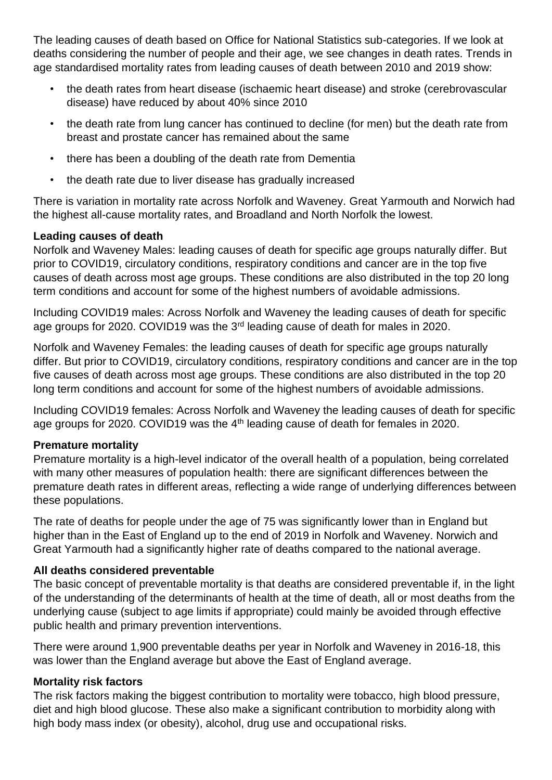The leading causes of death based on Office for National Statistics sub-categories. If we look at deaths considering the number of people and their age, we see changes in death rates. Trends in age standardised mortality rates from leading causes of death between 2010 and 2019 show:

- the death rates from heart disease (ischaemic heart disease) and stroke (cerebrovascular disease) have reduced by about 40% since 2010
- the death rate from lung cancer has continued to decline (for men) but the death rate from breast and prostate cancer has remained about the same
- there has been a doubling of the death rate from Dementia
- the death rate due to liver disease has gradually increased

There is variation in mortality rate across Norfolk and Waveney. Great Yarmouth and Norwich had the highest all-cause mortality rates, and Broadland and North Norfolk the lowest.

### **Leading causes of death**

Norfolk and Waveney Males: leading causes of death for specific age groups naturally differ. But prior to COVID19, circulatory conditions, respiratory conditions and cancer are in the top five causes of death across most age groups. These conditions are also distributed in the top 20 long term conditions and account for some of the highest numbers of avoidable admissions.

Including COVID19 males: Across Norfolk and Waveney the leading causes of death for specific age groups for 2020. COVID19 was the 3rd leading cause of death for males in 2020.

Norfolk and Waveney Females: the leading causes of death for specific age groups naturally differ. But prior to COVID19, circulatory conditions, respiratory conditions and cancer are in the top five causes of death across most age groups. These conditions are also distributed in the top 20 long term conditions and account for some of the highest numbers of avoidable admissions.

Including COVID19 females: Across Norfolk and Waveney the leading causes of death for specific age groups for 2020. COVID19 was the 4<sup>th</sup> leading cause of death for females in 2020.

### **Premature mortality**

Premature mortality is a high-level indicator of the overall health of a population, being correlated with many other measures of population health: there are significant differences between the premature death rates in different areas, reflecting a wide range of underlying differences between these populations.

The rate of deaths for people under the age of 75 was significantly lower than in England but higher than in the East of England up to the end of 2019 in Norfolk and Waveney. Norwich and Great Yarmouth had a significantly higher rate of deaths compared to the national average.

### **All deaths considered preventable**

The basic concept of preventable mortality is that deaths are considered preventable if, in the light of the understanding of the determinants of health at the time of death, all or most deaths from the underlying cause (subject to age limits if appropriate) could mainly be avoided through effective public health and primary prevention interventions.

There were around 1,900 preventable deaths per year in Norfolk and Waveney in 2016-18, this was lower than the England average but above the East of England average.

### **Mortality risk factors**

The risk factors making the biggest contribution to mortality were tobacco, high blood pressure, diet and high blood glucose. These also make a significant contribution to morbidity along with high body mass index (or obesity), alcohol, drug use and occupational risks.